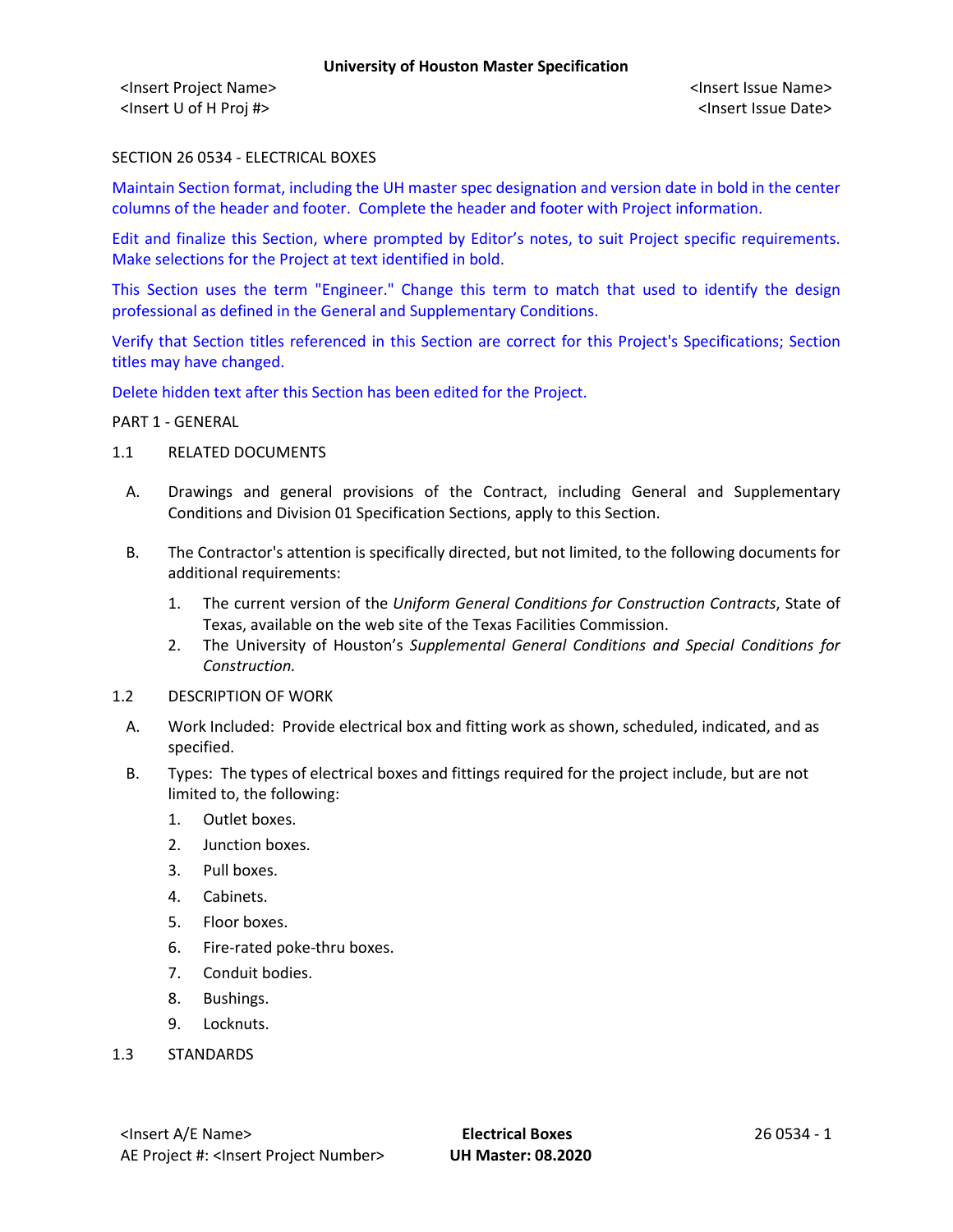<Insert Project Name> <Insert Issue Name> <Insert U of H Proj #> <Insert Issue Date>

### SECTION 26 0534 - ELECTRICAL BOXES

Maintain Section format, including the UH master spec designation and version date in bold in the center columns of the header and footer. Complete the header and footer with Project information.

Edit and finalize this Section, where prompted by Editor's notes, to suit Project specific requirements. Make selections for the Project at text identified in bold.

This Section uses the term "Engineer." Change this term to match that used to identify the design professional as defined in the General and Supplementary Conditions.

Verify that Section titles referenced in this Section are correct for this Project's Specifications; Section titles may have changed.

Delete hidden text after this Section has been edited for the Project.

#### PART 1 - GENERAL

- 1.1 RELATED DOCUMENTS
	- A. Drawings and general provisions of the Contract, including General and Supplementary Conditions and Division 01 Specification Sections, apply to this Section.
	- B. The Contractor's attention is specifically directed, but not limited, to the following documents for additional requirements:
		- 1. The current version of the *Uniform General Conditions for Construction Contracts*, State of Texas, available on the web site of the Texas Facilities Commission.
		- 2. The University of Houston's *Supplemental General Conditions and Special Conditions for Construction.*
- 1.2 DESCRIPTION OF WORK
	- A. Work Included: Provide electrical box and fitting work as shown, scheduled, indicated, and as specified.
	- B. Types: The types of electrical boxes and fittings required for the project include, but are not limited to, the following:
		- 1. Outlet boxes.
		- 2. Junction boxes.
		- 3. Pull boxes.
		- 4. Cabinets.
		- 5. Floor boxes.
		- 6. Fire-rated poke-thru boxes.
		- 7. Conduit bodies.
		- 8. Bushings.
		- 9. Locknuts.
- 1.3 STANDARDS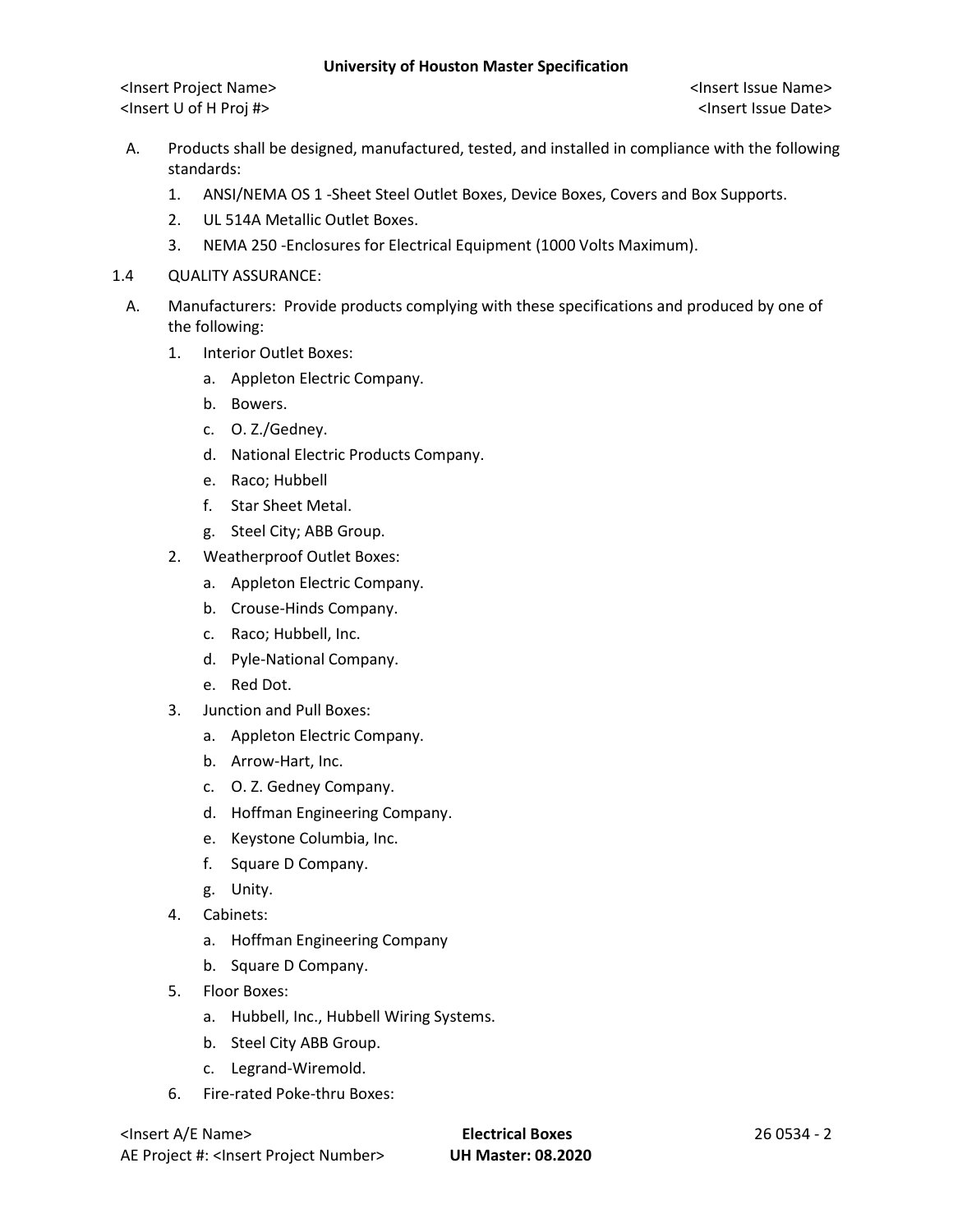<Insert Project Name> <Insert Issue Name> <Insert U of H Proj #> <Insert Issue Date>

- A. Products shall be designed, manufactured, tested, and installed in compliance with the following standards:
	- 1. ANSI/NEMA OS 1 -Sheet Steel Outlet Boxes, Device Boxes, Covers and Box Supports.
	- 2. UL 514A Metallic Outlet Boxes.
	- 3. NEMA 250 -Enclosures for Electrical Equipment (1000 Volts Maximum).
- 1.4 QUALITY ASSURANCE:
	- A. Manufacturers: Provide products complying with these specifications and produced by one of the following:
		- 1. Interior Outlet Boxes:
			- a. Appleton Electric Company.
			- b. Bowers.
			- c. O. Z./Gedney.
			- d. National Electric Products Company.
			- e. Raco; Hubbell
			- f. Star Sheet Metal.
			- g. Steel City; ABB Group.
		- 2. Weatherproof Outlet Boxes:
			- a. Appleton Electric Company.
			- b. Crouse-Hinds Company.
			- c. Raco; Hubbell, Inc.
			- d. Pyle-National Company.
			- e. Red Dot.
		- 3. Junction and Pull Boxes:
			- a. Appleton Electric Company.
			- b. Arrow-Hart, Inc.
			- c. O. Z. Gedney Company.
			- d. Hoffman Engineering Company.
			- e. Keystone Columbia, Inc.
			- f. Square D Company.
			- g. Unity.
		- 4. Cabinets:
			- a. Hoffman Engineering Company
			- b. Square D Company.
		- 5. Floor Boxes:
			- a. Hubbell, Inc., Hubbell Wiring Systems.
			- b. Steel City ABB Group.
			- c. Legrand-Wiremold.
		- 6. Fire-rated Poke-thru Boxes:

<Insert A/E Name> **Electrical Boxes** 26 0534 - 2 AE Project #: <Insert Project Number> **UH Master: 08.2020**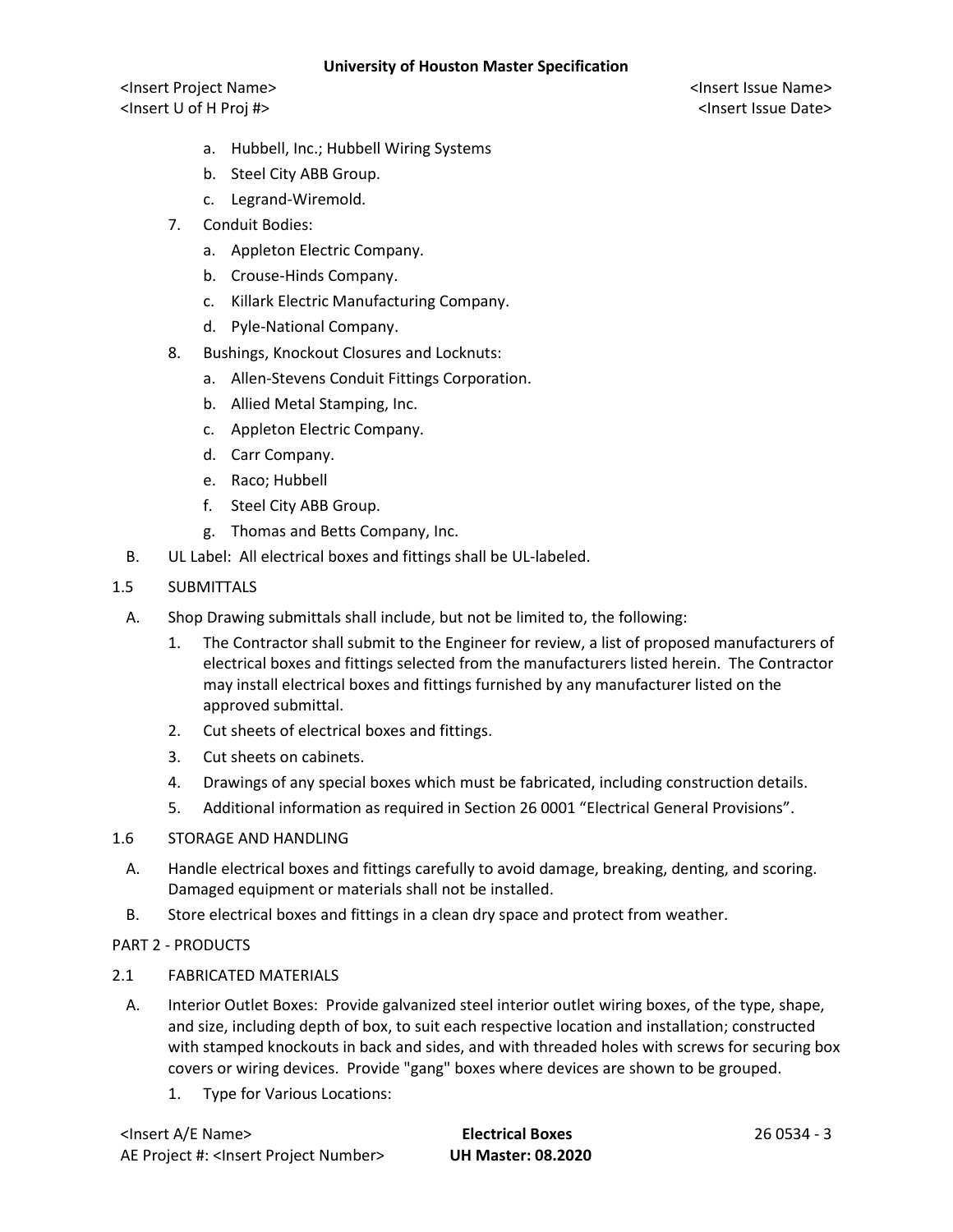<Insert Project Name> <Insert Issue Name> <Insert U of H Proj #> <Insert Issue Date>

- a. Hubbell, Inc.; Hubbell Wiring Systems
- b. Steel City ABB Group.
- c. Legrand-Wiremold.
- 7. Conduit Bodies:
	- a. Appleton Electric Company.
	- b. Crouse-Hinds Company.
	- c. Killark Electric Manufacturing Company.
	- d. Pyle-National Company.
- 8. Bushings, Knockout Closures and Locknuts:
	- a. Allen-Stevens Conduit Fittings Corporation.
	- b. Allied Metal Stamping, Inc.
	- c. Appleton Electric Company.
	- d. Carr Company.
	- e. Raco; Hubbell
	- f. Steel City ABB Group.
	- g. Thomas and Betts Company, Inc.
- B. UL Label: All electrical boxes and fittings shall be UL-labeled.
- 1.5 SUBMITTALS
	- A. Shop Drawing submittals shall include, but not be limited to, the following:
		- 1. The Contractor shall submit to the Engineer for review, a list of proposed manufacturers of electrical boxes and fittings selected from the manufacturers listed herein. The Contractor may install electrical boxes and fittings furnished by any manufacturer listed on the approved submittal.
		- 2. Cut sheets of electrical boxes and fittings.
		- 3. Cut sheets on cabinets.
		- 4. Drawings of any special boxes which must be fabricated, including construction details.
		- 5. Additional information as required in Section 26 0001 "Electrical General Provisions".
- 1.6 STORAGE AND HANDLING
	- A. Handle electrical boxes and fittings carefully to avoid damage, breaking, denting, and scoring. Damaged equipment or materials shall not be installed.
	- B. Store electrical boxes and fittings in a clean dry space and protect from weather.
- PART 2 PRODUCTS
- 2.1 FABRICATED MATERIALS
	- A. Interior Outlet Boxes: Provide galvanized steel interior outlet wiring boxes, of the type, shape, and size, including depth of box, to suit each respective location and installation; constructed with stamped knockouts in back and sides, and with threaded holes with screws for securing box covers or wiring devices. Provide "gang" boxes where devices are shown to be grouped.
		- 1. Type for Various Locations:

| <insert a="" e="" name=""></insert>                  |  |
|------------------------------------------------------|--|
| AE Project #: <insert number="" project=""></insert> |  |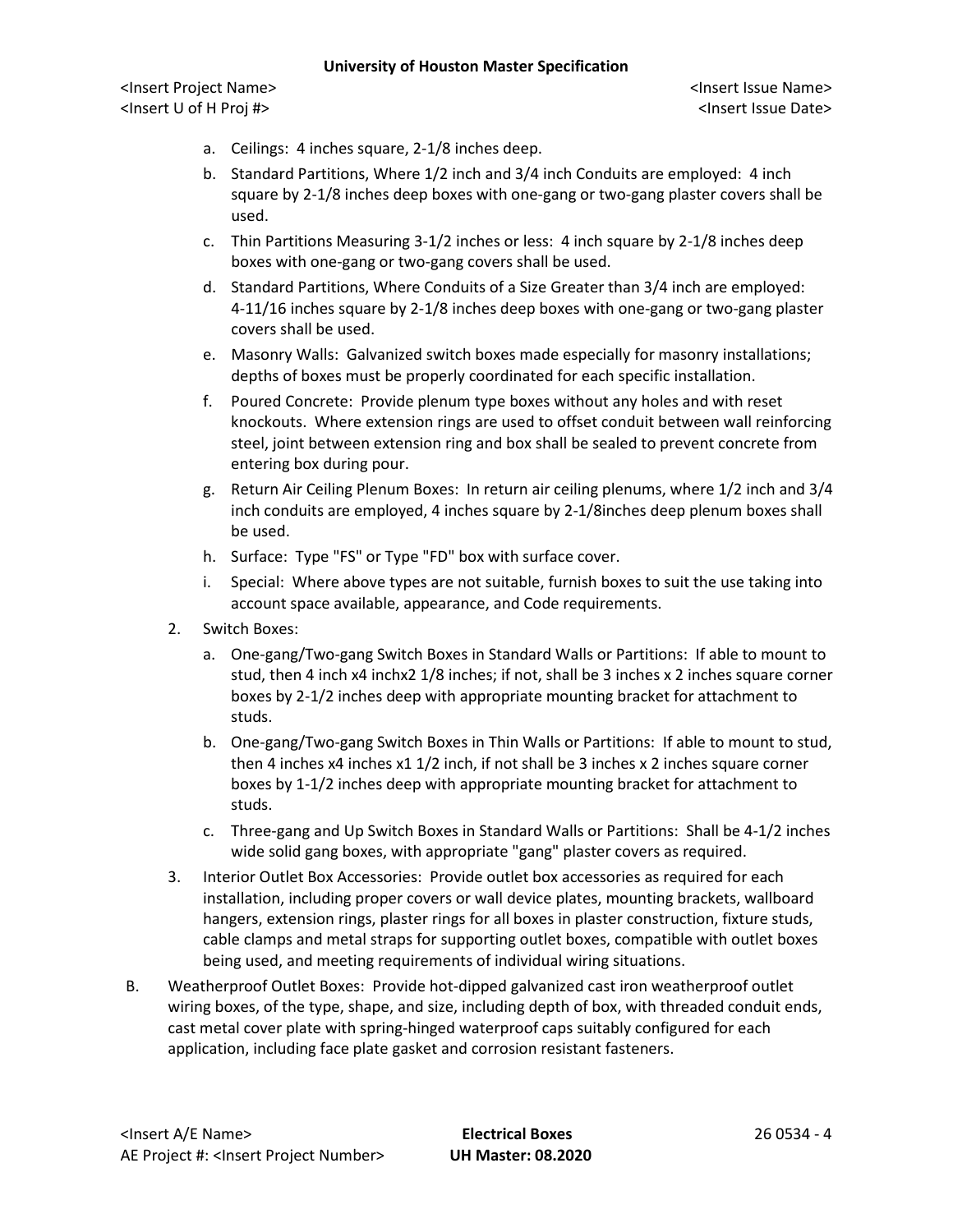<Insert Project Name> <Insert Issue Name> <Insert U of H Proj #> <Insert Issue Date>

- a. Ceilings: 4 inches square, 2-1/8 inches deep.
- b. Standard Partitions, Where 1/2 inch and 3/4 inch Conduits are employed: 4 inch square by 2-1/8 inches deep boxes with one-gang or two-gang plaster covers shall be used.
- c. Thin Partitions Measuring 3-1/2 inches or less: 4 inch square by 2-1/8 inches deep boxes with one-gang or two-gang covers shall be used.
- d. Standard Partitions, Where Conduits of a Size Greater than 3/4 inch are employed: 4-11/16 inches square by 2-1/8 inches deep boxes with one-gang or two-gang plaster covers shall be used.
- e. Masonry Walls: Galvanized switch boxes made especially for masonry installations; depths of boxes must be properly coordinated for each specific installation.
- f. Poured Concrete: Provide plenum type boxes without any holes and with reset knockouts. Where extension rings are used to offset conduit between wall reinforcing steel, joint between extension ring and box shall be sealed to prevent concrete from entering box during pour.
- g. Return Air Ceiling Plenum Boxes: In return air ceiling plenums, where 1/2 inch and 3/4 inch conduits are employed, 4 inches square by 2-1/8inches deep plenum boxes shall be used.
- h. Surface: Type "FS" or Type "FD" box with surface cover.
- i. Special: Where above types are not suitable, furnish boxes to suit the use taking into account space available, appearance, and Code requirements.
- 2. Switch Boxes:
	- a. One-gang/Two-gang Switch Boxes in Standard Walls or Partitions: If able to mount to stud, then 4 inch x4 inchx2 1/8 inches; if not, shall be 3 inches x 2 inches square corner boxes by 2-1/2 inches deep with appropriate mounting bracket for attachment to studs.
	- b. One-gang/Two-gang Switch Boxes in Thin Walls or Partitions: If able to mount to stud, then 4 inches x4 inches x1 1/2 inch, if not shall be 3 inches x 2 inches square corner boxes by 1-1/2 inches deep with appropriate mounting bracket for attachment to studs.
	- c. Three-gang and Up Switch Boxes in Standard Walls or Partitions: Shall be 4-1/2 inches wide solid gang boxes, with appropriate "gang" plaster covers as required.
- 3. Interior Outlet Box Accessories: Provide outlet box accessories as required for each installation, including proper covers or wall device plates, mounting brackets, wallboard hangers, extension rings, plaster rings for all boxes in plaster construction, fixture studs, cable clamps and metal straps for supporting outlet boxes, compatible with outlet boxes being used, and meeting requirements of individual wiring situations.
- B. Weatherproof Outlet Boxes: Provide hot-dipped galvanized cast iron weatherproof outlet wiring boxes, of the type, shape, and size, including depth of box, with threaded conduit ends, cast metal cover plate with spring-hinged waterproof caps suitably configured for each application, including face plate gasket and corrosion resistant fasteners.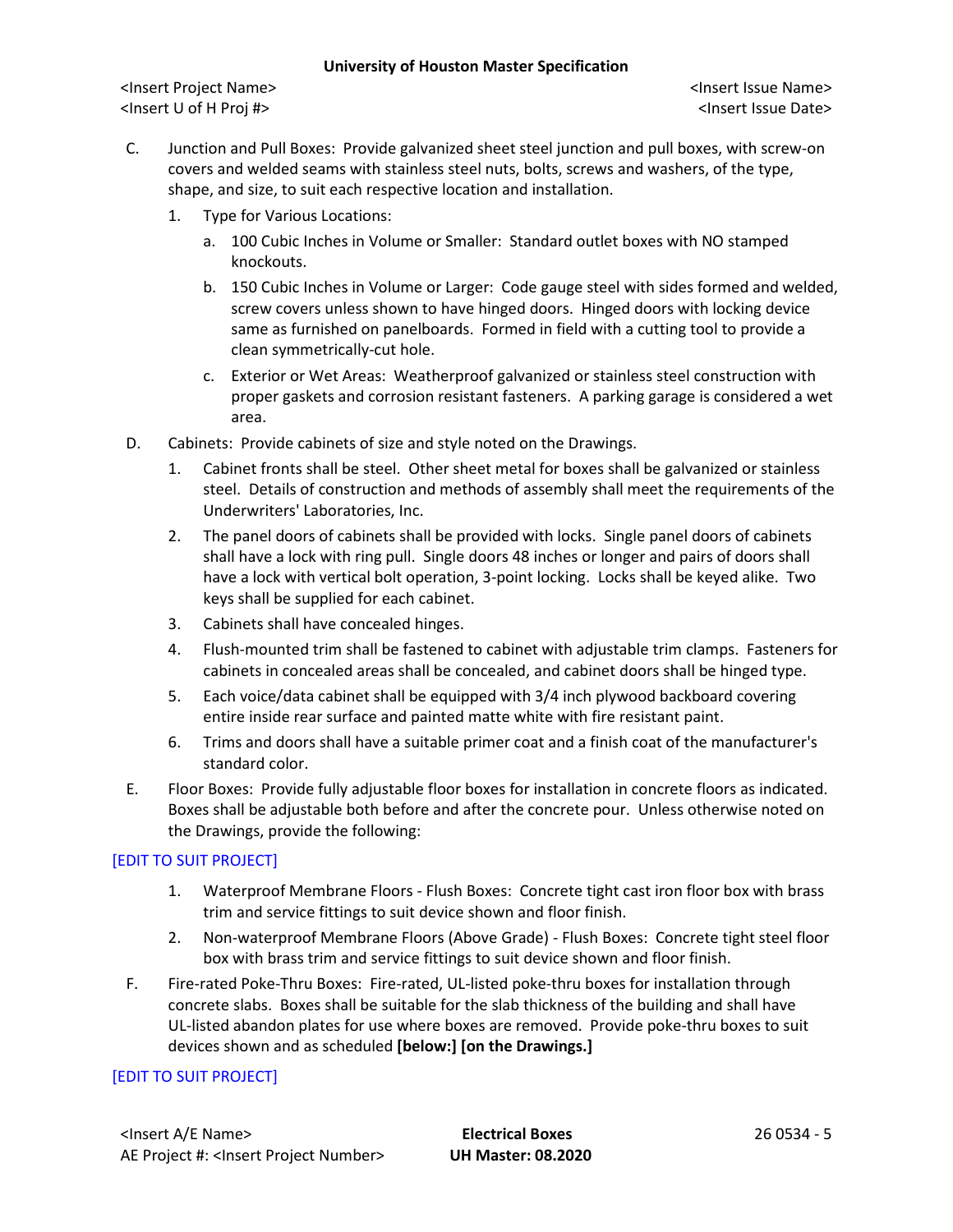<Insert Project Name> <Insert Issue Name> <Insert U of H Proj #> <Insert Issue Date>

- C. Junction and Pull Boxes: Provide galvanized sheet steel junction and pull boxes, with screw-on covers and welded seams with stainless steel nuts, bolts, screws and washers, of the type, shape, and size, to suit each respective location and installation.
	- 1. Type for Various Locations:
		- a. 100 Cubic Inches in Volume or Smaller: Standard outlet boxes with NO stamped knockouts.
		- b. 150 Cubic Inches in Volume or Larger: Code gauge steel with sides formed and welded, screw covers unless shown to have hinged doors. Hinged doors with locking device same as furnished on panelboards. Formed in field with a cutting tool to provide a clean symmetrically-cut hole.
		- c. Exterior or Wet Areas: Weatherproof galvanized or stainless steel construction with proper gaskets and corrosion resistant fasteners. A parking garage is considered a wet area.
- D. Cabinets: Provide cabinets of size and style noted on the Drawings.
	- 1. Cabinet fronts shall be steel. Other sheet metal for boxes shall be galvanized or stainless steel. Details of construction and methods of assembly shall meet the requirements of the Underwriters' Laboratories, Inc.
	- 2. The panel doors of cabinets shall be provided with locks. Single panel doors of cabinets shall have a lock with ring pull. Single doors 48 inches or longer and pairs of doors shall have a lock with vertical bolt operation, 3-point locking. Locks shall be keyed alike. Two keys shall be supplied for each cabinet.
	- 3. Cabinets shall have concealed hinges.
	- 4. Flush-mounted trim shall be fastened to cabinet with adjustable trim clamps. Fasteners for cabinets in concealed areas shall be concealed, and cabinet doors shall be hinged type.
	- 5. Each voice/data cabinet shall be equipped with 3/4 inch plywood backboard covering entire inside rear surface and painted matte white with fire resistant paint.
	- 6. Trims and doors shall have a suitable primer coat and a finish coat of the manufacturer's standard color.
- E. Floor Boxes: Provide fully adjustable floor boxes for installation in concrete floors as indicated. Boxes shall be adjustable both before and after the concrete pour. Unless otherwise noted on the Drawings, provide the following:

## [EDIT TO SUIT PROJECT]

- 1. Waterproof Membrane Floors Flush Boxes: Concrete tight cast iron floor box with brass trim and service fittings to suit device shown and floor finish.
- 2. Non-waterproof Membrane Floors (Above Grade) Flush Boxes: Concrete tight steel floor box with brass trim and service fittings to suit device shown and floor finish.
- F. Fire-rated Poke-Thru Boxes: Fire-rated, UL-listed poke-thru boxes for installation through concrete slabs. Boxes shall be suitable for the slab thickness of the building and shall have UL-listed abandon plates for use where boxes are removed. Provide poke-thru boxes to suit devices shown and as scheduled **[below:] [on the Drawings.]**

# [EDIT TO SUIT PROJECT]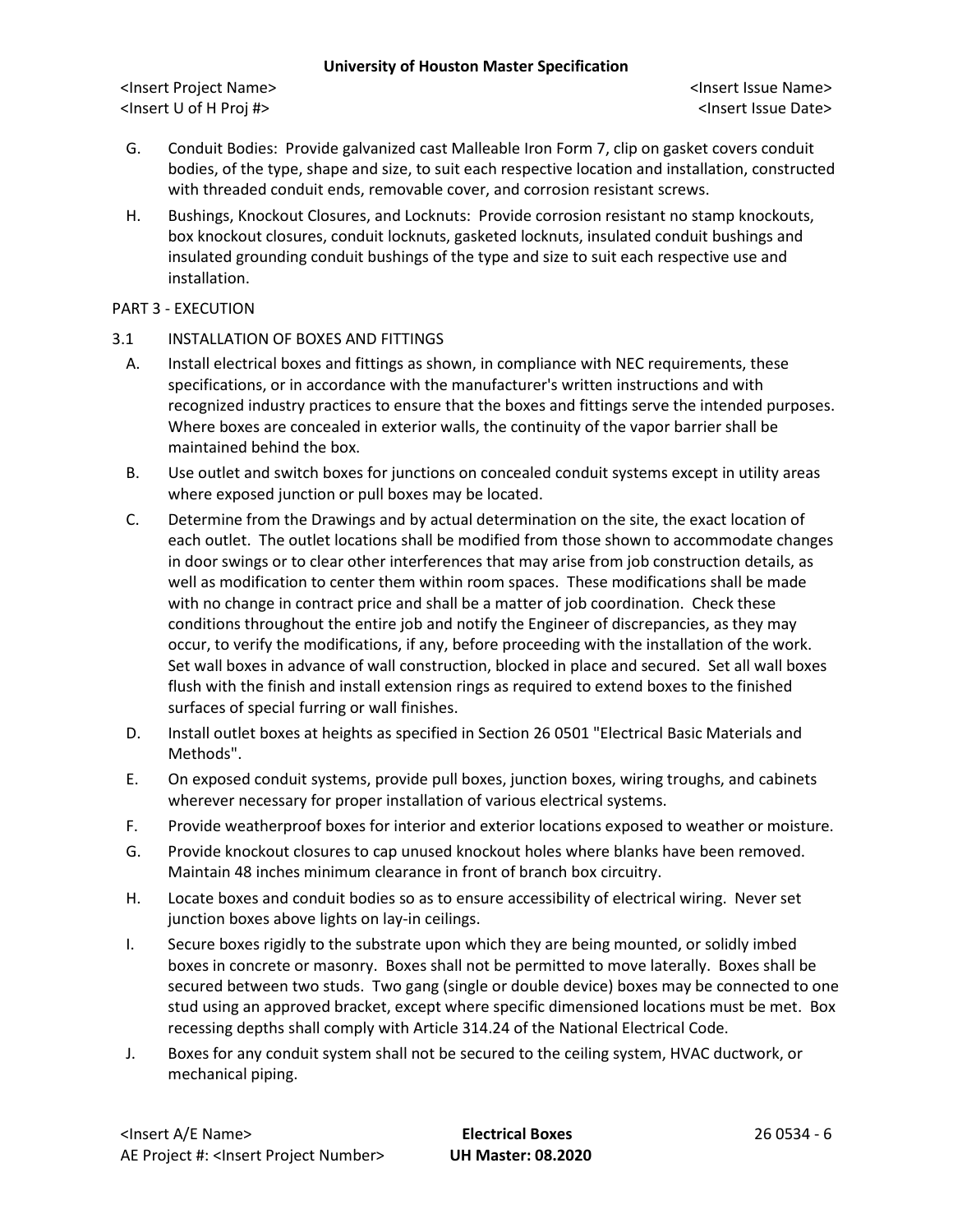<Insert Project Name> <Insert Issue Name> <Insert U of H Proj #> <Insert Issue Date>

- G. Conduit Bodies: Provide galvanized cast Malleable Iron Form 7, clip on gasket covers conduit bodies, of the type, shape and size, to suit each respective location and installation, constructed with threaded conduit ends, removable cover, and corrosion resistant screws.
- H. Bushings, Knockout Closures, and Locknuts: Provide corrosion resistant no stamp knockouts, box knockout closures, conduit locknuts, gasketed locknuts, insulated conduit bushings and insulated grounding conduit bushings of the type and size to suit each respective use and installation.

### PART 3 - EXECUTION

- 3.1 INSTALLATION OF BOXES AND FITTINGS
	- A. Install electrical boxes and fittings as shown, in compliance with NEC requirements, these specifications, or in accordance with the manufacturer's written instructions and with recognized industry practices to ensure that the boxes and fittings serve the intended purposes. Where boxes are concealed in exterior walls, the continuity of the vapor barrier shall be maintained behind the box.
	- B. Use outlet and switch boxes for junctions on concealed conduit systems except in utility areas where exposed junction or pull boxes may be located.
	- C. Determine from the Drawings and by actual determination on the site, the exact location of each outlet. The outlet locations shall be modified from those shown to accommodate changes in door swings or to clear other interferences that may arise from job construction details, as well as modification to center them within room spaces. These modifications shall be made with no change in contract price and shall be a matter of job coordination. Check these conditions throughout the entire job and notify the Engineer of discrepancies, as they may occur, to verify the modifications, if any, before proceeding with the installation of the work. Set wall boxes in advance of wall construction, blocked in place and secured. Set all wall boxes flush with the finish and install extension rings as required to extend boxes to the finished surfaces of special furring or wall finishes.
	- D. Install outlet boxes at heights as specified in Section 26 0501 "Electrical Basic Materials and Methods".
	- E. On exposed conduit systems, provide pull boxes, junction boxes, wiring troughs, and cabinets wherever necessary for proper installation of various electrical systems.
	- F. Provide weatherproof boxes for interior and exterior locations exposed to weather or moisture.
	- G. Provide knockout closures to cap unused knockout holes where blanks have been removed. Maintain 48 inches minimum clearance in front of branch box circuitry.
	- H. Locate boxes and conduit bodies so as to ensure accessibility of electrical wiring. Never set junction boxes above lights on lay-in ceilings.
	- I. Secure boxes rigidly to the substrate upon which they are being mounted, or solidly imbed boxes in concrete or masonry. Boxes shall not be permitted to move laterally. Boxes shall be secured between two studs. Two gang (single or double device) boxes may be connected to one stud using an approved bracket, except where specific dimensioned locations must be met. Box recessing depths shall comply with Article 314.24 of the National Electrical Code.
	- J. Boxes for any conduit system shall not be secured to the ceiling system, HVAC ductwork, or mechanical piping.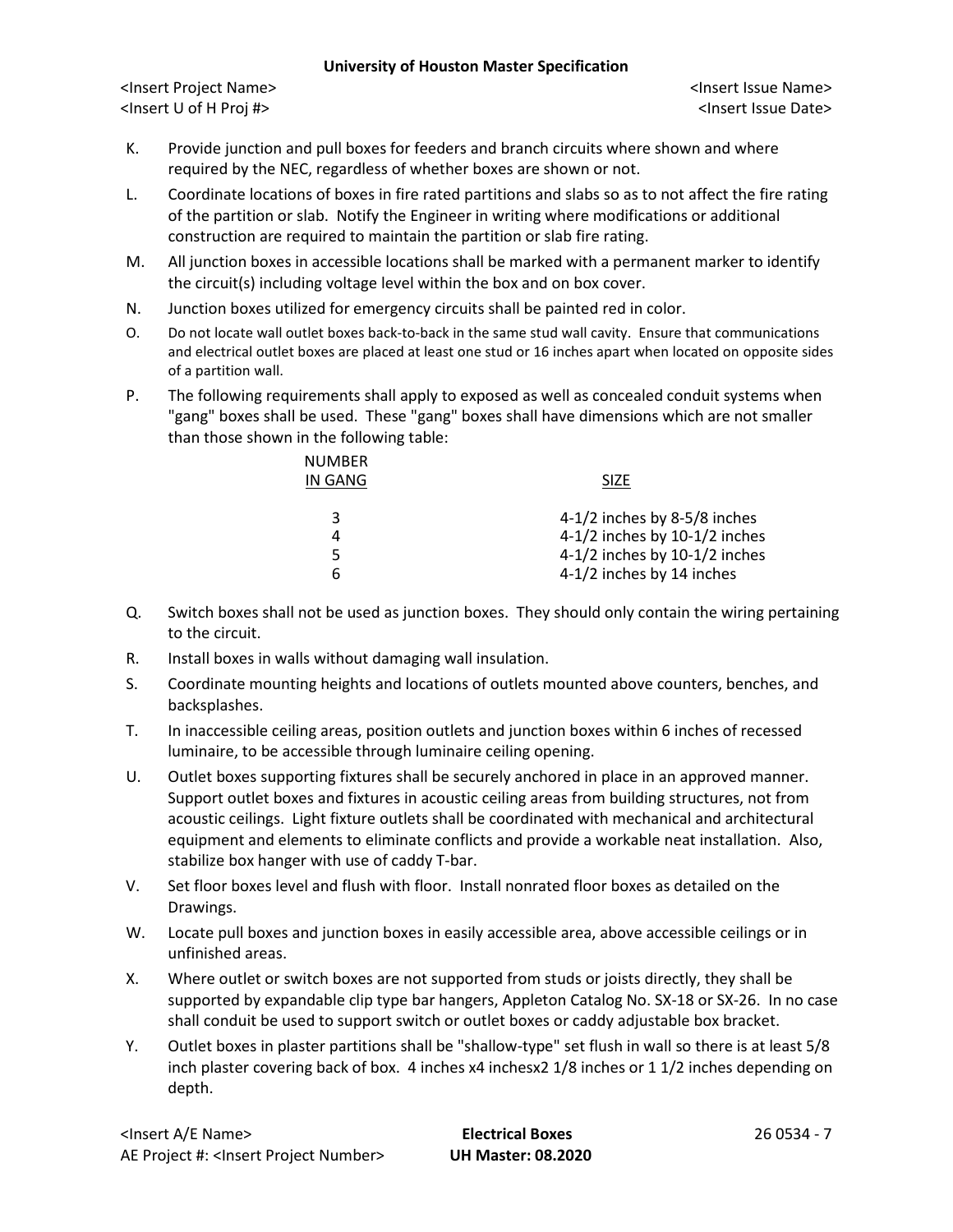<Insert Project Name> <Insert Issue Name> <Insert U of H Proj #> <Insert Issue Date>

- K. Provide junction and pull boxes for feeders and branch circuits where shown and where required by the NEC, regardless of whether boxes are shown or not.
- L. Coordinate locations of boxes in fire rated partitions and slabs so as to not affect the fire rating of the partition or slab. Notify the Engineer in writing where modifications or additional construction are required to maintain the partition or slab fire rating.
- M. All junction boxes in accessible locations shall be marked with a permanent marker to identify the circuit(s) including voltage level within the box and on box cover.
- N. Junction boxes utilized for emergency circuits shall be painted red in color.
- O. Do not locate wall outlet boxes back-to-back in the same stud wall cavity. Ensure that communications and electrical outlet boxes are placed at least one stud or 16 inches apart when located on opposite sides of a partition wall.
- P. The following requirements shall apply to exposed as well as concealed conduit systems when "gang" boxes shall be used. These "gang" boxes shall have dimensions which are not smaller than those shown in the following table:

| <b>SIZE</b>                       |
|-----------------------------------|
| 4-1/2 inches by 8-5/8 inches      |
| $4-1/2$ inches by $10-1/2$ inches |
| 4-1/2 inches by $10-1/2$ inches   |
| 4-1/2 inches by 14 inches         |
|                                   |

- Q. Switch boxes shall not be used as junction boxes. They should only contain the wiring pertaining to the circuit.
- R. Install boxes in walls without damaging wall insulation.
- S. Coordinate mounting heights and locations of outlets mounted above counters, benches, and backsplashes.
- T. In inaccessible ceiling areas, position outlets and junction boxes within 6 inches of recessed luminaire, to be accessible through luminaire ceiling opening.
- U. Outlet boxes supporting fixtures shall be securely anchored in place in an approved manner. Support outlet boxes and fixtures in acoustic ceiling areas from building structures, not from acoustic ceilings. Light fixture outlets shall be coordinated with mechanical and architectural equipment and elements to eliminate conflicts and provide a workable neat installation. Also, stabilize box hanger with use of caddy T-bar.
- V. Set floor boxes level and flush with floor. Install nonrated floor boxes as detailed on the Drawings.
- W. Locate pull boxes and junction boxes in easily accessible area, above accessible ceilings or in unfinished areas.
- X. Where outlet or switch boxes are not supported from studs or joists directly, they shall be supported by expandable clip type bar hangers, Appleton Catalog No. SX-18 or SX-26. In no case shall conduit be used to support switch or outlet boxes or caddy adjustable box bracket.
- Y. Outlet boxes in plaster partitions shall be "shallow-type" set flush in wall so there is at least 5/8 inch plaster covering back of box. 4 inches x4 inchesx2 1/8 inches or 1 1/2 inches depending on depth.

<Insert A/E Name> **Electrical Boxes** 26 0534 - 7 AE Project #: <Insert Project Number> **UH Master: 08.2020**